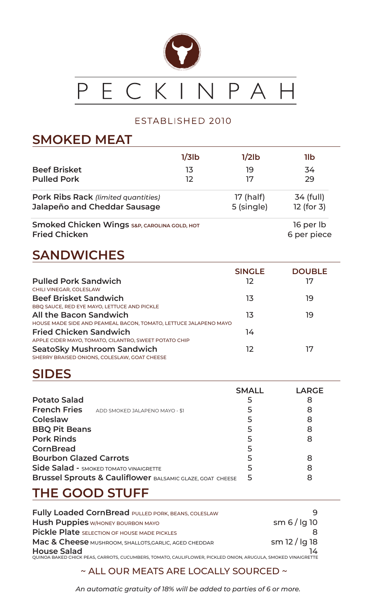

#### ESTABLISHED 2010

#### **SMOKED MEAT**

|                                                                                 | $1/3$ lb | $1/2$ lb   | 1lb                      |
|---------------------------------------------------------------------------------|----------|------------|--------------------------|
| <b>Beef Brisket</b>                                                             | 13       | 19         | 34                       |
| <b>Pulled Pork</b>                                                              | 12       | 17         | 29                       |
| <b>Pork Ribs Rack (limited quantities)</b>                                      |          | 17 (half)  | 34 (full)                |
| Jalapeño and Cheddar Sausage                                                    |          | 5 (single) | 12 (for 3)               |
| <b>Smoked Chicken Wings S&amp;P, CAROLINA GOLD, HOT</b><br><b>Fried Chicken</b> |          |            | 16 per lb<br>6 per piece |

## **SANDWICHES**

|                                                                                   | <b>SINGLE</b> | <b>DOUBLE</b> |
|-----------------------------------------------------------------------------------|---------------|---------------|
| <b>Pulled Pork Sandwich</b>                                                       | 12            | 17            |
| <b>CHILI VINEGAR, COLESLAW</b>                                                    |               |               |
| <b>Beef Brisket Sandwich</b>                                                      | 13            | 19            |
| BBQ SAUCE, RED EYE MAYO, LETTUCE AND PICKLE                                       |               |               |
| All the Bacon Sandwich                                                            | 13            | 19            |
| HOUSE MADE SIDE AND PEAMEAL BACON, TOMATO, LETTUCE JALAPENO MAYO                  |               |               |
| <b>Fried Chicken Sandwich</b>                                                     | 14            |               |
| APPLE CIDER MAYO, TOMATO, CILANTRO, SWEET POTATO CHIP                             |               |               |
| <b>SeatoSky Mushroom Sandwich</b><br>SHERRY BRAISED ONIONS, COLESLAW, GOAT CHEESE | 12            | לו            |
|                                                                                   |               |               |

## **SIDES**

| <b>Potato Salad</b><br><b>French Fries</b><br>ADD SMOKED JALAPENO MAYO - \$1<br>Coleslaw<br><b>BBQ Pit Beans</b><br><b>Pork Rinds</b><br><b>CornBread</b><br><b>Bourbon Glazed Carrots</b><br><b>Side Salad - SMOKED TOMATO VINAIGRETTE</b> | <b>SMALL</b><br>5<br>5 | <b>LARGE</b><br>8<br>8<br>8<br>8<br>8<br>8<br>8 |
|---------------------------------------------------------------------------------------------------------------------------------------------------------------------------------------------------------------------------------------------|------------------------|-------------------------------------------------|
| <b>Brussel Sprouts &amp; Cauliflower BALSAMIC GLAZE, GOAT CHEESE</b>                                                                                                                                                                        |                        | 8                                               |

#### **THE GOOD STUFF**

| Fully Loaded CornBread PULLED PORK, BEANS, COLESLAW                                                                                |                 |
|------------------------------------------------------------------------------------------------------------------------------------|-----------------|
| Hush Puppies W/HONEY BOURBON MAYO                                                                                                  | $sm 6$ / lg 10  |
| Pickle Plate SELECTION OF HOUSE MADE PICKLES                                                                                       |                 |
| Mac & Cheese MUSHROOM, SHALLOTS, GARLIC, AGED CHEDDAR                                                                              | $sm$ 12 / lg 18 |
| <b>House Salad</b><br>QUINOA BAKED CHICK PEAS, CARROTS, CUCUMBERS, TOMATO, CAULIFLOWER, PICKLED ONION, ARUGULA, SMOKED VINAIGRETTE | 14              |

~ ALL OUR MEATS ARE LOCALLY SOURCED ~

*An automatic gratuity of 18% will be added to parties of 6 or more.*